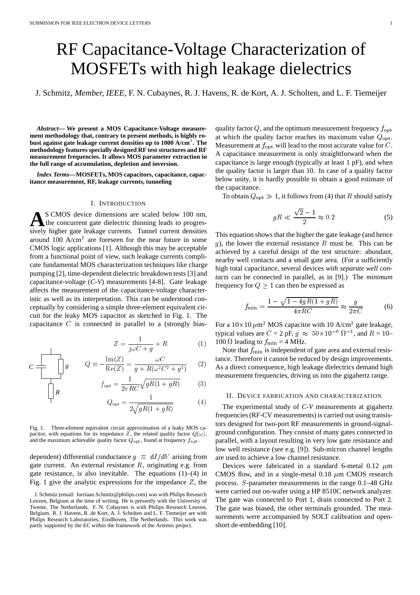# RF Capacitance-Voltage Characterization of MOSFETs with high leakage dielectrics

J. Schmitz, *Member, IEEE*, F. N. Cubaynes, R. J. Havens, R. de Kort, A. J. Scholten, and L. F. Tiemeijer

*Abstract***— We present a MOS Capacitance-Voltage measurement methodology that, contrary to present methods, is highly robust against gate leakage current densities up to 1000 A/cm**2 **. The methodology features specially designed RF test structures and RF measurement frequencies. It allows MOS parameter extraction in the full range of accumulation, depletion and inversion.**

*Index Terms***—MOSFETs, MOS capacitors, capacitance, capacitance measurement, RF, leakage currents, tunneling**

#### I. INTRODUCTION

**A**S CMOS device dimensions are scaled below 100 nm, the concurrent gate dielectric thinning leads to progressively higher gate leakage currents. Tunnel current densities around 100  $A/cm<sup>2</sup>$  are foreseen for the near future in some CMOS logic applications [1]. Although this may be acceptable from a functional point of view, such leakage currents complicate fundamental MOS characterization techniques like charge pumping [2], time-dependent dielectric breakdown tests [3] and capacitance-voltage (*C-V*) measurements [4-8]. Gate leakage affects the measurement of the capacitance-voltage characteristic as well as its interpretation. This can be understood conceptually by considering a simple three-element equivalent circuit for the leaky MOS capacitor as sketched in Fig. 1. The capacitance  $C$  is connected in parallel to a (strongly bias-

$$
Z = \frac{1}{j\omega C + g} + R \tag{1}
$$

$$
C \frac{\perp}{\perp} \qquad \bigg| g \qquad Q \equiv -\frac{\text{Im}(Z)}{\text{Re}(Z)} = \frac{\omega C}{g + R(\omega^2 C^2 + g^2)} \qquad (2) \qquad \text{As}
$$

*R*

$$
f_{\text{opt}} = \frac{1}{2\pi RC} \sqrt{gR(1+gR)} \tag{3}
$$

$$
Q_{\rm opt} = \frac{1}{2\sqrt{gR(1+gR)}}\tag{4}
$$

Fig. 1. Three-element equivalent circuit approximation of a leaky MOS capacitor, with equations for its impedance  $Z$ , the related quality factor  $Q(\omega)$ , and the maximum achievable quality factor  $Q_{\text{opt}}$ , found at frequency  $f_{\text{opt}}$ .

dependent) differential conductance  $g \equiv dI/dV$  arising from gate current. An external resistance  $R$ , originating e.g. from gate resistance, is also inevitable. The equations  $(1)$ – $(4)$  in Fig. 1 give the analytic expressions for the impedance  $Z$ , the quality factor  $Q$ , and the optimum measurement frequency  $f_{\text{opt}}$ at which the quality factor reaches its maximum value  $Q_{\text{opt}}$ . Measurement at  $f_{\text{opt}}$  will lead to the most accurate value for C. A capacitance measurement is only straightforward when the capacitance is large enough (typically at least 1 pF), and when the quality factor is larger than 10. In case of a quality factor below unity, it is hardly possible to obtain a good estimate of the capacitance.

To obtain  $Q_{\text{opt}} \gg 1$ , it follows from (4) that R should satisfy

$$
gR \ll \frac{\sqrt{2} - 1}{2} \approx 0.2\tag{5}
$$

This equation shows that the higher the gate leakage (and hence g), the lower the external resistance  $R$  must be. This can be achieved by a careful design of the test structure: abundant, nearby well contacts and a small gate area. (For a sufficiently high total capacitance, several devices *with separate well contacts* can be connected in parallel, as in [9].) The *minimum* frequency for  $Q \geq 1$  can then be expressed as

$$
f_{\min} = \frac{1 - \sqrt{1 - 4gR(1 + gR)}}{4\pi RC} \approx \frac{g}{2\pi C}
$$
 (6)

 $+ R$  (1) 100  $\Omega$  leading to  $f_{\text{min}} = 4$  MHz. For a  $10 \times 10 \ \mu m^2$  MOS capacitor with 10 A/cm<sup>2</sup> gate leakage, typical values are  $C = 2$  pF,  $g \approx 50 \times 10^{-6} \Omega^{-1}$ , and  $R = 10-$ 

> $(2)$  As a direct consequence, high leakage dielectrics demand high Note that  $f_{\min}$  is independent of gate area and external resistance. Therefore it cannot be reduced by design improvements. measurement frequencies, driving us into the gigahertz range.

### II. DEVICE FABRICATION AND CHARACTERIZATION

<sup>1</sup>/ The experimental study of *C-V* measurements at gigahertz frequencies (RF-CV measurements) is carried out using transistors designed for two-port RF measurements in ground-signalground configuration. They consist of many gates connected in parallel, with a layout resulting in very low gate resistance and low well resistance (see e.g. [9]). Sub-micron channel lengths are used to achieve a low channel resistance.

Devices were fabricated in a standard 6-metal  $0.12 \mu m$ CMOS flow, and in a single-metal 0.18  $\mu$ m CMOS research process. <sup>S</sup>-parameter measurements in the range 0.1–48 GHz were carried out on-wafer using a HP 8510C network analyzer. The gate was connected to Port 1, drain connected to Port 2. The gate was biased, the other terminals grounded. The measurements were accompanied by SOLT calibration and openshort de-embedding [10].

J. Schmitz (email: Jurriaan.Schmitz@philips.com) was with Philips Research Leuven, Belgium at the time of writing. He is presently with the University of Twente, The Netherlands. F. N. Cubaynes is with Philips Research Leuven, Belgium. R. J. Havens, R. de Kort, A. J. Scholten and L. F. Tiemeijer are with Philips Research Laboratories, Eindhoven, The Netherlands. This work was partly supported by the EC within the framework of the Artemis project.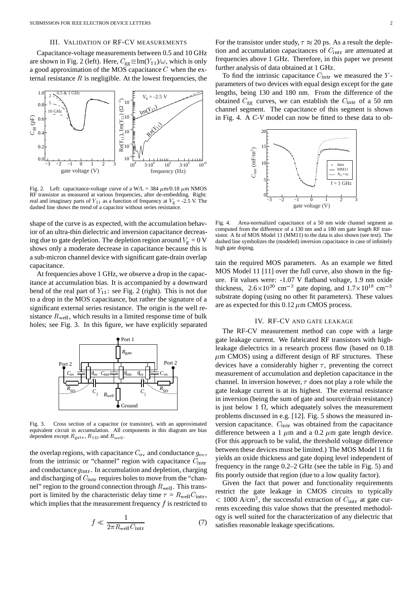# III. VALIDATION OF RF-CV MEASUREMENTS

Capacitance-voltage measurements between 0.5 and 10 GHz are shown in Fig. 2 (left). Here,  $C_{gg} \equiv Im(Y_{11})/\omega$ , which is only a good approximation of the MOS capacitance <sup>C</sup> when the external resistance  $R$  is negligible. At the lowest frequencies, the



Fig. 2. Left: capacitance-voltage curve of a W/L = 384  $\mu$ m/0.18  $\mu$ m NMOS RF transistor as measured at various frequencies, after de-embedding. Right: real and imaginary parts of  $Y_{11}$  as a function of frequency at  $V_g = -2.5$  V. The dashed line shows the trend of a capacitor without series resistance.

shape of the curve is as expected, with the accumulation behavior of an ultra-thin dielectric and inversion capacitance decreasing due to gate depletion. The depletion region around  $V_g = 0$  V shows only a moderate decrease in capacitance because this is a sub-micron channel device with significant gate-drain overlap capacitance.

At frequencies above 1 GHz, we observe a drop in the capacitance at accumulation bias. It is accompanied by a downward bend of the real part of  $Y_{11}$ : see Fig. 2 (right). This is not due to a drop in the MOS capacitance, but rather the signature of a significant external series resistance. The origin is the well resistance  $R_{\text{well}}$ , which results in a limited response time of bulk holes; see Fig. 3. In this figure, we have explicitly separated



Fig. 3. Cross section of a capacitor (or transistor), with an approximated equivalent circuit in accumulation. All components in this diagram are bias dependent except  $R_{\text{gate}}$ ,  $R_{\text{SD}}$  and  $R_{\text{well}}$ .

the overlap regions, with capacitance  $C_{\text{ov}}$  and conductance  $g_{\text{ov}}$ , from the intrinsic or "channel" region with capacitance  $C_{\text{intr}}$ and conductance  $g_{\text{intr}}$ . In accumulation and depletion, charging and discharging of  $C_{\text{intr}}$  requires holes to move from the "channel" region to the ground connection through  $R_{well}$ . This transport is limited by the characteristic delay time  $\tau = R_{\text{well}} C_{\text{intr}}$ , which implies that the measurement frequency  $f$  is restricted to

$$
f \ll \frac{1}{2\pi R_{\text{well}} C_{\text{intr}}}
$$
 (7)

For the transistor under study,  $\tau \approx 20$  ps. As a result the depletion and accumulation capacitances of  $C_{\text{intr}}$  are attenuated at frequencies above 1 GHz. Therefore, in this paper we present further analysis of data obtained at 1 GHz.

To find the intrinsic capacitance  $C_{\text{intr}}$  we measured the Yparameters of two devices with equal design except for the gate lengths, being 130 and 180 nm. From the difference of the obtained  $C_{gg}$  curves, we can establish the  $C_{\text{intr}}$  of a 50 nm channel segment. The capacitance of this segment is shown in Fig. 4. A *C-V* model can now be fitted to these data to ob-



Fig. 4. Area-normalized capacitance of a 50 nm wide channel segment as computed from the difference of a 130 nm and a 180 nm gate length RF transistor. A fit of MOS Model 11 (MM11) to the data is also shown (see text). The dashed line symbolizes the (modeled) inversion capacitance in case of infinitely high gate doping.

tain the required MOS parameters. As an example we fitted MOS Model 11 [11] over the full curve, also shown in the figure. Fit values were: -1.07 V flatband voltage, 1.9 nm oxide thickness,  $2.6 \times 10^{20}$  cm<sup>-3</sup> gate doping, and  $1.7 \times 10^{18}$  cm<sup>-3</sup> substrate doping (using no other fit parameters). These values are as expected for this  $0.12 \mu m$  CMOS process.

## IV. RF-CV AND GATE LEAKAGE

The RF-CV measurement method can cope with a large gate leakage current. We fabricated RF transistors with highleakage dielectrics in a research process flow (based on 0.18  $\mu$ m CMOS) using a different design of RF structures. These devices have a considerably higher  $\tau$ , preventing the correct measurement of accumulation and depletion capacitance in the channel. In inversion however,  $\tau$  does not play a role while the gate leakage current is at its highest. The external resistance in inversion (being the sum of gate and source/drain resistance) is just below 1  $\Omega$ , which adequately solves the measurement problems discussed in e.g. [12]. Fig. 5 shows the measured inversion capacitance.  $C_{\text{intr}}$  was obtained from the capacitance difference between a 1  $\mu$ m and a 0.2  $\mu$ m gate length device. (For this approach to be valid, the threshold voltage difference between these devices must be limited.) The MOS Model 11 fit yields an oxide thickness and gate doping level independent of frequency in the range 0.2–2 GHz (see the table in Fig. 5) and fits poorly outside that region (due to a low quality factor).

Given the fact that power and functionality requirements restrict the gate leakage in CMOS circuits to typically  $< 1000$  A/cm<sup>2</sup>, the successful extraction of  $C_{\text{intr}}$  at gate currents exceeding this value shows that the presented methodology is well suited for the characterization of any dielectric that satisfies reasonable leakage specifications.